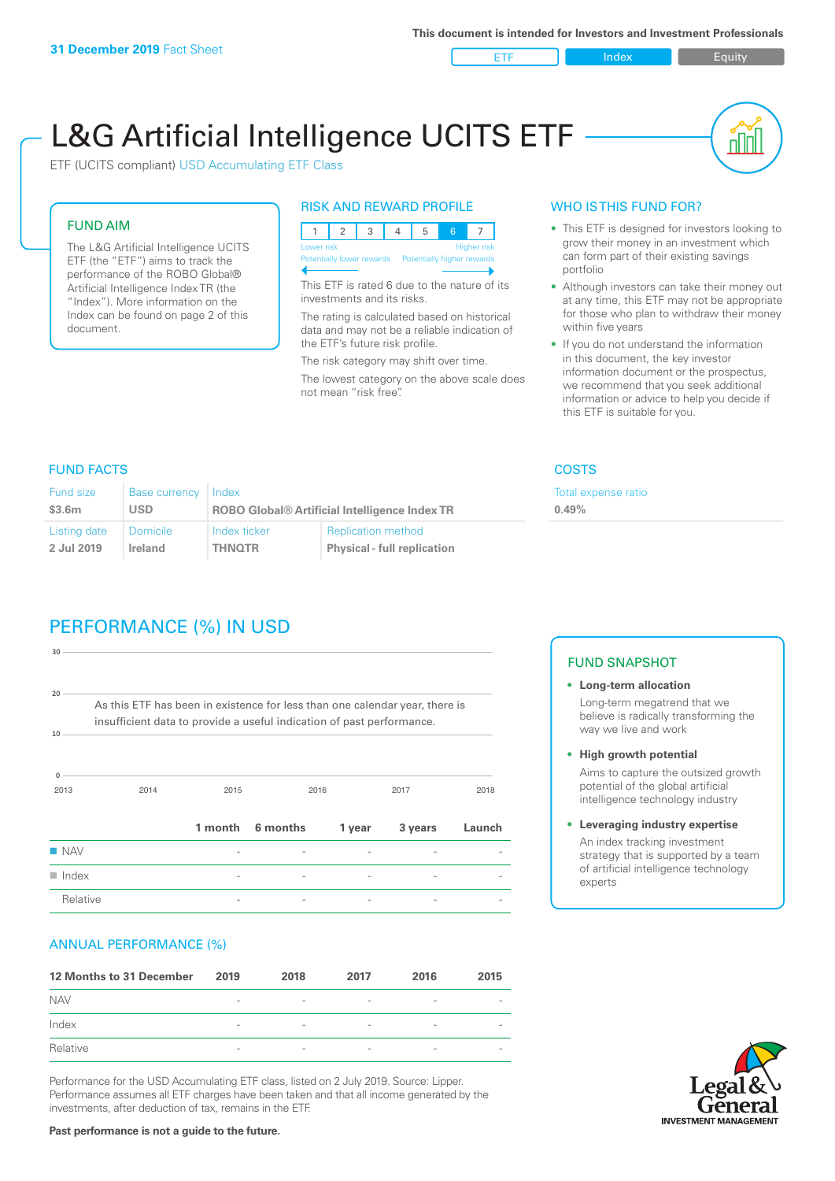ETF Index Requity

nl M

# L&G Artificial Intelligence UCITS ETF

ETF (UCITS compliant) USD Accumulating ETF Class

### FUND AIM

The L&G Artificial Intelligence UCITS ETF (the "ETF") aims to track the performance of the ROBO Global® Artificial Intelligence Index TR (the "Index"). More information on the Index can be found on page 2 of this document.

#### RISK AND REWARD PROFILE



This ETF is rated 6 due to the nature of its investments and its risks.

The rating is calculated based on historical data and may not be a reliable indication of the ETF's future risk profile.

The risk category may shift over time. The lowest category on the above scale does not mean "risk free".

#### WHO IS THIS FUND FOR?

- This ETF is designed for investors looking to grow their money in an investment which can form part of their existing savings portfolio
- Although investors can take their money out at any time, this ETF may not be appropriate for those who plan to withdraw their money within five years
- If you do not understand the information in this document, the key investor information document or the prospectus, we recommend that you seek additional information or advice to help you decide if this ETF is suitable for you.

**0.49%**

Total expense ratio

#### FUND FACTS COSTS

| Fund size    | Base currency   | Index                                                |                                    |  |
|--------------|-----------------|------------------------------------------------------|------------------------------------|--|
| \$3.6m       | <b>USD</b>      | <b>ROBO Global® Artificial Intelligence Index TR</b> |                                    |  |
| Listing date | <b>Domicile</b> | Index ticker                                         | <b>Replication method</b>          |  |
| 2 Jul 2019   | Ireland         | <b>THNOTR</b>                                        | <b>Physical - full replication</b> |  |

# PERFORMANCE (%) IN USD

| 30                                                                                                                                                         |      |         |          |        |         |        |
|------------------------------------------------------------------------------------------------------------------------------------------------------------|------|---------|----------|--------|---------|--------|
| 20<br>As this ETF has been in existence for less than one calendar year, there is<br>insufficient data to provide a useful indication of past performance. |      |         |          |        |         |        |
| 10                                                                                                                                                         |      |         |          |        |         |        |
| $\mathbf{0}$<br>2013                                                                                                                                       | 2014 | 2015    | 2016     |        | 2017    | 2018   |
|                                                                                                                                                            |      | 1 month | 6 months | 1 year | 3 years | Launch |
| <b>NAV</b>                                                                                                                                                 |      |         |          |        |         |        |
| $\blacksquare$ Index                                                                                                                                       |      |         |          |        |         |        |
| Relative                                                                                                                                                   |      |         |          |        |         |        |

#### ANNUAL PERFORMANCE (%)

| 12 Months to 31 December | 2019                     | 2018                     | 2017                     | 2016                     | 2015                     |
|--------------------------|--------------------------|--------------------------|--------------------------|--------------------------|--------------------------|
| <b>NAV</b>               | $\qquad \qquad$          | $\overline{\phantom{a}}$ | $\overline{\phantom{a}}$ | $\overline{\phantom{a}}$ | $\qquad \qquad$          |
| Index                    | $\overline{\phantom{a}}$ | $\overline{\phantom{0}}$ | $\overline{\phantom{a}}$ | $\overline{\phantom{a}}$ |                          |
| Relative                 | $\overline{\phantom{a}}$ | $\overline{\phantom{a}}$ | $\sim$                   | $\sim$                   | $\overline{\phantom{a}}$ |

Performance for the USD Accumulating ETF class, listed on 2 July 2019. Source: Lipper. Performance assumes all ETF charges have been taken and that all income generated by the investments, after deduction of tax, remains in the ETF.

#### FUND SNAPSHOT

- **• Long-term allocation** Long-term megatrend that we believe is radically transforming the way we live and work
- **• High growth potential** Aims to capture the outsized growth potential of the global artificial intelligence technology industry
- **• Leveraging industry expertise** An index tracking investment strategy that is supported by a team of artificial intelligence technology experts



**Past performance is not a guide to the future.**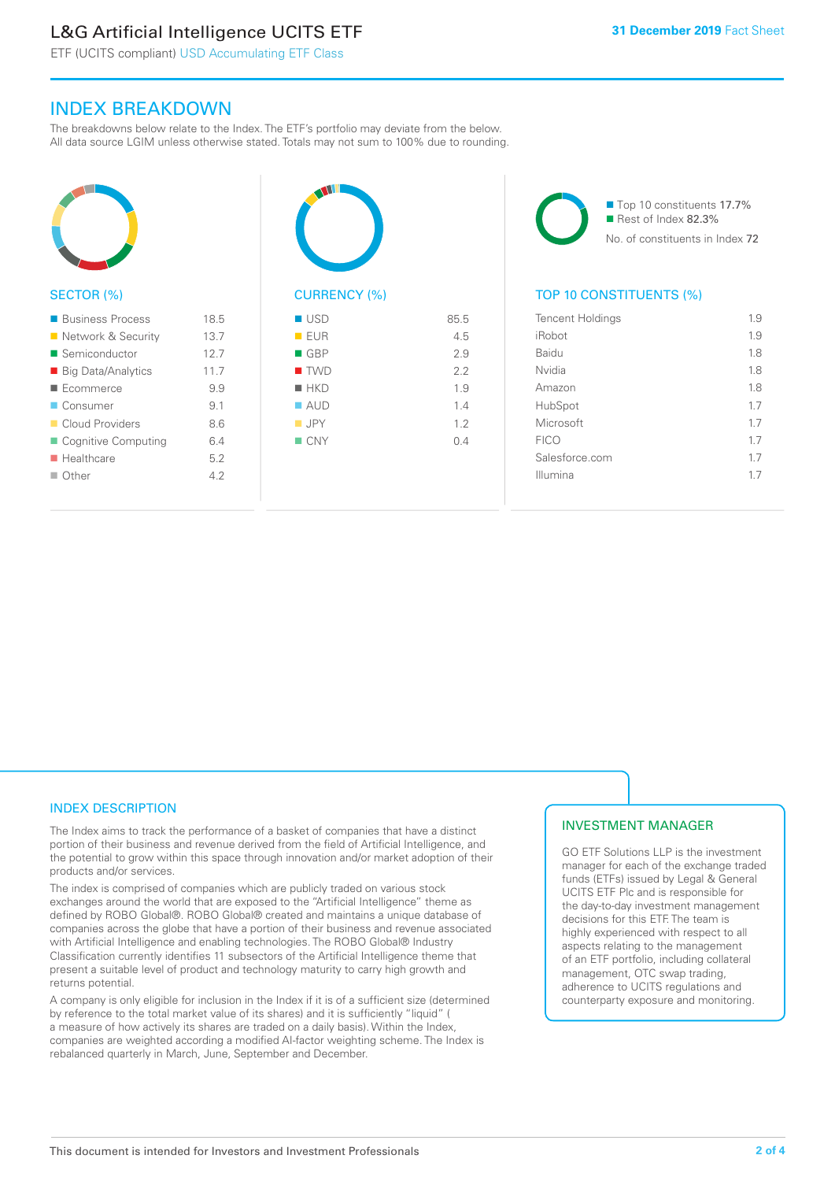# L&G Artificial Intelligence UCITS ETF

ETF (UCITS compliant) USD Accumulating ETF Class

#### INDEX BREAKDOWN

The breakdowns below relate to the Index. The ETF's portfolio may deviate from the below. All data source LGIM unless otherwise stated. Totals may not sum to 100% due to rounding.



| ■ Business Process        | 18.5 |
|---------------------------|------|
| Network & Security        | 13.7 |
| ■ Semiconductor           | 12.7 |
| ■ Big Data/Analytics      | 11.7 |
| Ecommerce                 | 9.9  |
| ■ Consumer                | 9.1  |
| Cloud Providers           | 8.6  |
| ■ Cognitive Computing     | 64   |
| $\blacksquare$ Healthcare | 5.2  |
| ■ Other                   | 42   |
|                           |      |



## $\blacksquare$  USD 85.5  $I = F \cup R$  4.5  $\Box$  GBP 2.9  $\blacksquare$  TWD 2.2  $HKN$  1.9  $\blacksquare$  AUD  $1.4$  $I.2$  $N = CNY$  0.4

■ Top 10 constituents 17.7% Rest of Index 82.3% No. of constituents in Index 72

#### TOP 10 CONSTITUENTS (%)

| <b>Tencent Holdings</b> | 1.9 |
|-------------------------|-----|
| iRobot                  | 1.9 |
| Baidu                   | 1.8 |
| Nvidia                  | 1.8 |
| Amazon                  | 1.8 |
| HubSpot                 | 1.7 |
| Microsoft               | 17  |
| <b>FICO</b>             | 1.7 |
| Salesforce.com          | 1.7 |
| Illumina                | 17  |
|                         |     |

#### INDEX DESCRIPTION

The Index aims to track the performance of a basket of companies that have a distinct portion of their business and revenue derived from the field of Artificial Intelligence, and the potential to grow within this space through innovation and/or market adoption of their products and/or services.

The index is comprised of companies which are publicly traded on various stock exchanges around the world that are exposed to the "Artificial Intelligence" theme as defined by ROBO Global®. ROBO Global® created and maintains a unique database of companies across the globe that have a portion of their business and revenue associated with Artificial Intelligence and enabling technologies. The ROBO Global® Industry Classification currently identifies 11 subsectors of the Artificial Intelligence theme that present a suitable level of product and technology maturity to carry high growth and returns potential.

A company is only eligible for inclusion in the Index if it is of a sufficient size (determined by reference to the total market value of its shares) and it is sufficiently "liquid" ( a measure of how actively its shares are traded on a daily basis). Within the Index, companies are weighted according a modified AI-factor weighting scheme. The Index is rebalanced quarterly in March, June, September and December.

#### INVESTMENT MANAGER

GO ETF Solutions LLP is the investment manager for each of the exchange traded funds (ETFs) issued by Legal & General UCITS ETF Plc and is responsible for the day-to-day investment management decisions for this ETF. The team is highly experienced with respect to all aspects relating to the management of an ETF portfolio, including collateral management, OTC swap trading, adherence to UCITS regulations and counterparty exposure and monitoring.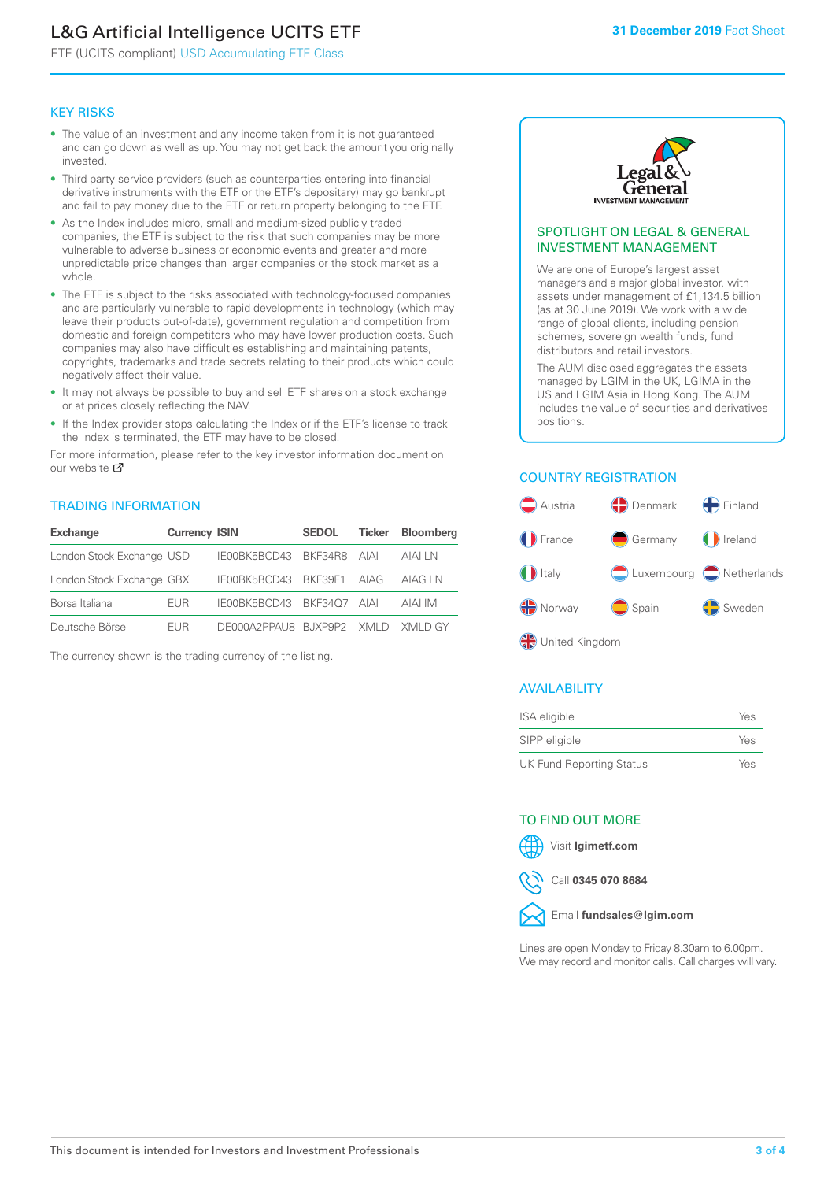# L&G Artificial Intelligence UCITS ETF

ETF (UCITS compliant) USD Accumulating ETF Class

#### KEY RISKS

- The value of an investment and any income taken from it is not guaranteed and can go down as well as up. You may not get back the amount you originally invested.
- Third party service providers (such as counterparties entering into financial derivative instruments with the ETF or the ETF's depositary) may go bankrupt and fail to pay money due to the ETF or return property belonging to the ETF.
- As the Index includes micro, small and medium-sized publicly traded companies, the ETF is subject to the risk that such companies may be more vulnerable to adverse business or economic events and greater and more unpredictable price changes than larger companies or the stock market as a whole.
- The ETF is subject to the risks associated with technology-focused companies and are particularly vulnerable to rapid developments in technology (which may leave their products out-of-date), government regulation and competition from domestic and foreign competitors who may have lower production costs. Such companies may also have difficulties establishing and maintaining patents, copyrights, trademarks and trade secrets relating to their products which could negatively affect their value.
- It may not always be possible to buy and sell ETF shares on a stock exchange or at prices closely reflecting the NAV.
- If the Index provider stops calculating the Index or if the ETF's license to track the Index is terminated, the ETF may have to be closed.

For more information, please refer to the key investor information document on our website Ø

#### TRADING INFORMATION

| <b>Exchange</b>           | <b>Currency ISIN</b> |                                   | <b>SEDOL</b> | Ticker | <b>Bloomberg</b> |
|---------------------------|----------------------|-----------------------------------|--------------|--------|------------------|
| London Stock Exchange USD |                      | IE00BK5BCD43 BKF34R8 AIAI         |              |        | AIAI I N         |
| London Stock Exchange GBX |                      | IE00BK5BCD43 BKF39F1 AIAG         |              |        | AIAG I N         |
| Borsa Italiana            | <b>FUR</b>           | IE00BK5BCD43 BKF34O7 AIAI         |              |        | AIAI IM          |
| Deutsche Börse            | <b>FUR</b>           | DE000A2PPAU8 BUXP9P2 XMLD XMLD GY |              |        |                  |

The currency shown is the trading currency of the listing.



#### SPOTLIGHT ON LEGAL & GENERAL INVESTMENT MANAGEMENT

We are one of Europe's largest asset managers and a major global investor, with assets under management of £1,134.5 billion (as at 30 June 2019). We work with a wide range of global clients, including pension schemes, sovereign wealth funds, fund distributors and retail investors.

The AUM disclosed aggregates the assets managed by LGIM in the UK, LGIMA in the US and LGIM Asia in Hong Kong. The AUM includes the value of securities and derivatives positions.

#### COUNTRY REGISTRATION



#### AVAILABILITY

| ISA eligible                    | Yes |
|---------------------------------|-----|
| SIPP eligible                   | Yes |
| <b>UK Fund Reporting Status</b> | Yes |

#### TO FIND OUT MORE

Visit **lgimetf.com**



Call **0345 070 8684**



Lines are open Monday to Friday 8.30am to 6.00pm. We may record and monitor calls. Call charges will vary.